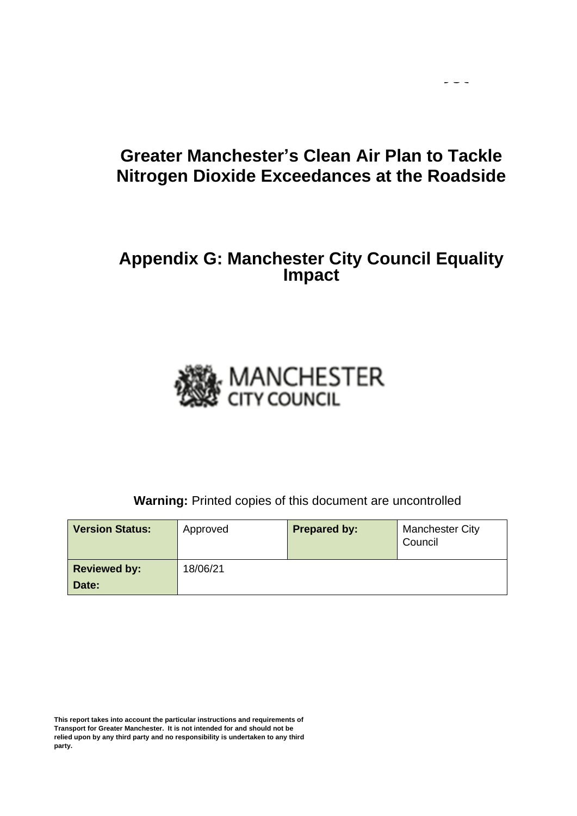## **Greater Manchester's Clean Air Plan to Tackle Nitrogen Dioxide Exceedances at the Roadside**

 $\sim$   $\sim$   $\sim$ 

## **Appendix G: Manchester City Council Equality Impact**



**Warning:** Printed copies of this document are uncontrolled

| <b>Version Status:</b> | Approved | <b>Prepared by:</b> | <b>Manchester City</b><br>Council |
|------------------------|----------|---------------------|-----------------------------------|
| <b>Reviewed by:</b>    | 18/06/21 |                     |                                   |
| Date:                  |          |                     |                                   |

**This report takes into account the particular instructions and requirements of Transport for Greater Manchester. It is not intended for and should not be relied upon by any third party and no responsibility is undertaken to any third party.**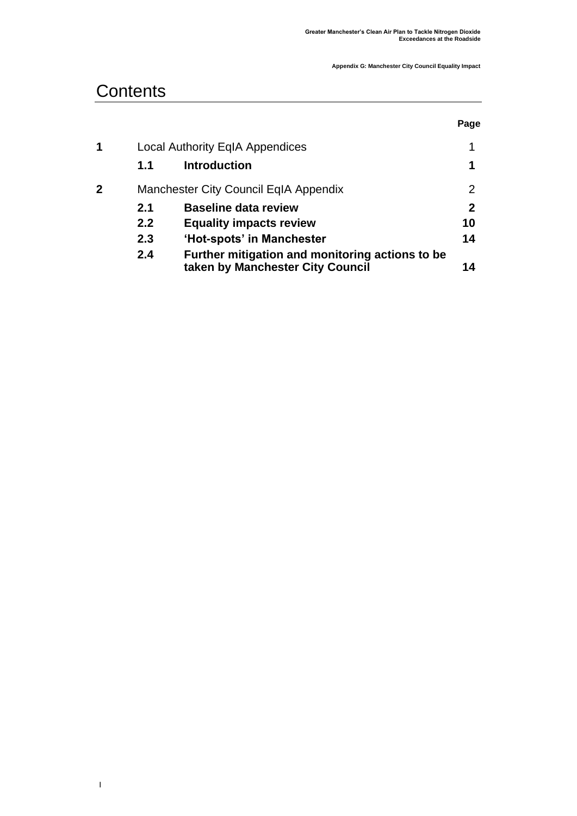## **Contents**

**|** 

|   |     |                                                                                     | Page |
|---|-----|-------------------------------------------------------------------------------------|------|
| 1 |     | <b>Local Authority EqIA Appendices</b>                                              |      |
|   | 1.1 | <b>Introduction</b>                                                                 | 1    |
| 2 |     | Manchester City Council EqIA Appendix                                               | 2    |
|   | 2.1 | <b>Baseline data review</b>                                                         | 2    |
|   | 2.2 | <b>Equality impacts review</b>                                                      | 10   |
|   | 2.3 | 'Hot-spots' in Manchester                                                           | 14   |
|   | 2.4 | Further mitigation and monitoring actions to be<br>taken by Manchester City Council | 14   |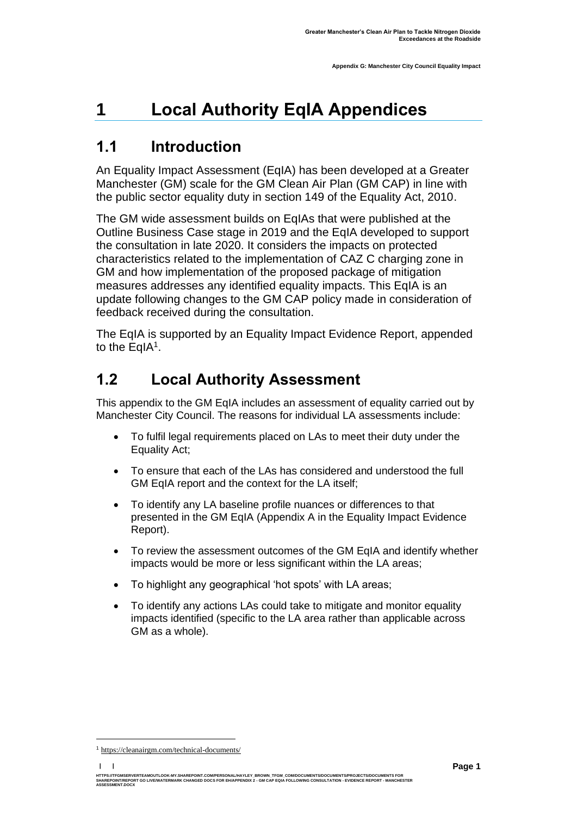# <span id="page-2-0"></span>**1 Local Authority EqIA Appendices**

## <span id="page-2-1"></span>**1.1 Introduction**

An Equality Impact Assessment (EqIA) has been developed at a Greater Manchester (GM) scale for the GM Clean Air Plan (GM CAP) in line with the public sector equality duty in section 149 of the Equality Act, 2010.

The GM wide assessment builds on EqIAs that were published at the Outline Business Case stage in 2019 and the EqIA developed to support the consultation in late 2020. It considers the impacts on protected characteristics related to the implementation of CAZ C charging zone in GM and how implementation of the proposed package of mitigation measures addresses any identified equality impacts. This EqIA is an update following changes to the GM CAP policy made in consideration of feedback received during the consultation.

The EqIA is supported by an Equality Impact Evidence Report, appended to the EqIA<sup>1</sup>.

## **1.2 Local Authority Assessment**

This appendix to the GM EqIA includes an assessment of equality carried out by Manchester City Council. The reasons for individual LA assessments include:

- To fulfil legal requirements placed on LAs to meet their duty under the Equality Act;
- To ensure that each of the LAs has considered and understood the full GM EqIA report and the context for the LA itself;
- To identify any LA baseline profile nuances or differences to that presented in the GM EqIA (Appendix A in the Equality Impact Evidence Report).
- To review the assessment outcomes of the GM EqIA and identify whether impacts would be more or less significant within the LA areas;
- To highlight any geographical 'hot spots' with LA areas;
- To identify any actions LAs could take to mitigate and monitor equality impacts identified (specific to the LA area rather than applicable across GM as a whole).

**| |**  HTTPS://TFGMSERVERTEAMOUTLOOK-MY.SHAREPOINT.COM/PERSONAL/HAYLEY\_BROWN\_TFGM\_COM/DOCUMENTS/DOCUMENTS/PROJECTS/DOCUMENTS FOR<br>SHAREPOINT/REPORT GO LIVE/WATERMARK CHANGED DOCS FOR EH/APPENDIX 2 - GM CAP EQIA FOLLOWING CONSULTAT **ASSESSMENT.DOCX**

<sup>1</sup> [https://cleanairgm.com/technical-documents/](https://secure-web.cisco.com/11eiBCgElauzNx9ZLncgJx3iOubmp4VtcvvkdlhxY65RKvTbIb59-L2ncr8SElltrd2x-6LbEl4KMsTTxIe3wkMOtRdF_mwDnnUw_pzGQZOwSRIhPJyQIZ8Yp6BpEAcNSn8Ts-zUMkCwwKuuZ6JqlhO90pJazjetwe6gKhLVIM_BswP0PQmXUeuqGyGpWdmieI8qM86OywsW2Ih1TXBkADjvPWBAW0J67oLJLyOi-5a-P-uw5qxFWy4jV1Rgj27aX74mWEA8RmcCJF_QiJniWV9Y7vnNRmfIdielNKILyTnV3ChPut5AXlpom2ThMoaDynN4YcMw9M5bXrEI6WdmDFg/https%3A%2F%2Furl4.mailanyone.net%2Fv1%2F%3Fm%3D1lqaQa-0007kg-3t%26i%3D57e1b682%26c%3Dwx7pouswT3bJs4LPeETsz86q7Q_0OC56XXhe7DlJDibGRSGR8fdmSomeuSdI7C2Fa0eQbaAqoLXhP95flvC3e_rUhnBjBiD8llf9LaF4ZtCjfFRgnR8YVM3huSJaCGnICk94fttlvHc5puWw5cDJWXKncROEJUpzHqnxCBOtlS83l3-sjgML-pIcbUhAQZELxzuJu6c3812_3lnwQAbyYwgocO5Fara8d5TyMQqiWW6tNZcZXXghiSlVoISAGQRmsZ-TU8nVqIdM3Z7LyV0OBSLL4yenFqLa1SDyZM36c6L9Rv_9RwvC_zO8-ja9EEmp3RuaxQ4iKqu8pID_qRBxLRB9hKR0Yp8TjK3AxZQfI6W6JX6ff_FKZIssUgNuX4h8fgWjXtS31MSzgcKKD5htCOS8RNiJG7hqFaezCADs1zqfd5YI5KwtXyQV8Xcw9c04dqUU3rtH6b_zGkplrYZzi_tw5Uh0gVH_yDQ0aze-YmaYOmPe-7DcIOn3tcJzyPAzyNqQZKCfP-i1oh349NtnaY_1gjK4qs0hRBa9R9D0kEGpaGRFokA16JTCjrnHuvRgs7DcM7Fi3nDdrs6xiFxYb34O5EIVstmWMeA67C4pmsqoQ4hX3-rUnQd3vI35GAzQJzJxEsp-QxLb4UU4coOA_r80VNAaur_GF4G4X8lvmN0gEZ3Wu5QzUhFNsj4TCOgSucH17LnJrJVLTZfksCAbTQ)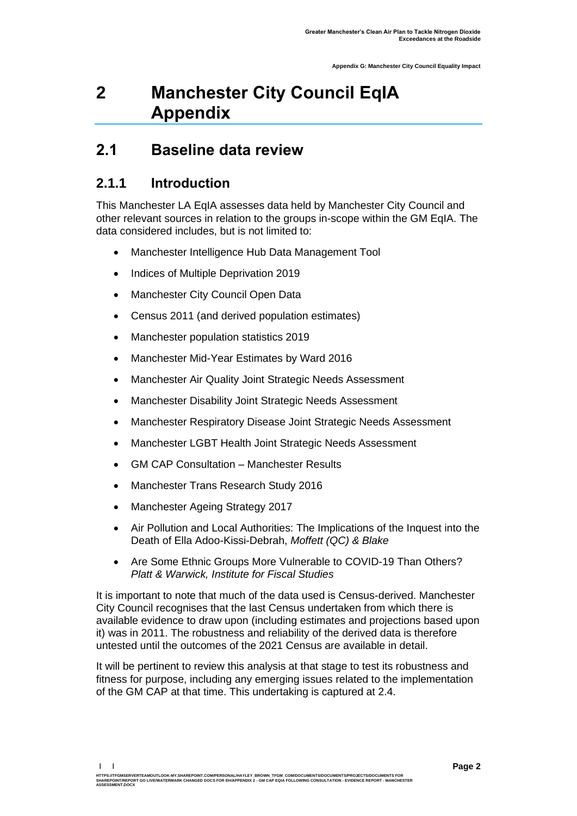# <span id="page-3-0"></span>**2 Manchester City Council EqIA Appendix**

#### <span id="page-3-1"></span>**2.1 Baseline data review**

#### **2.1.1 Introduction**

This Manchester LA EqIA assesses data held by Manchester City Council and other relevant sources in relation to the groups in-scope within the GM EqIA. The data considered includes, but is not limited to:

- Manchester Intelligence Hub Data Management Tool
- Indices of Multiple Deprivation 2019
- Manchester City Council Open Data
- Census 2011 (and derived population estimates)
- Manchester population statistics 2019
- Manchester Mid-Year Estimates by Ward 2016
- Manchester Air Quality Joint Strategic Needs Assessment
- Manchester Disability Joint Strategic Needs Assessment
- Manchester Respiratory Disease Joint Strategic Needs Assessment
- Manchester LGBT Health Joint Strategic Needs Assessment
- GM CAP Consultation Manchester Results
- Manchester Trans Research Study 2016
- Manchester Ageing Strategy 2017
- Air Pollution and Local Authorities: The Implications of the Inquest into the Death of Ella Adoo-Kissi-Debrah, *Moffett (QC) & Blake*
- Are Some Ethnic Groups More Vulnerable to COVID-19 Than Others? *Platt & Warwick, Institute for Fiscal Studies*

It is important to note that much of the data used is Census-derived. Manchester City Council recognises that the last Census undertaken from which there is available evidence to draw upon (including estimates and projections based upon it) was in 2011. The robustness and reliability of the derived data is therefore untested until the outcomes of the 2021 Census are available in detail.

It will be pertinent to review this analysis at that stage to test its robustness and fitness for purpose, including any emerging issues related to the implementation of the GM CAP at that time. This undertaking is captured at 2.4.

**| |** 

**ASSESSMENT.DOCX**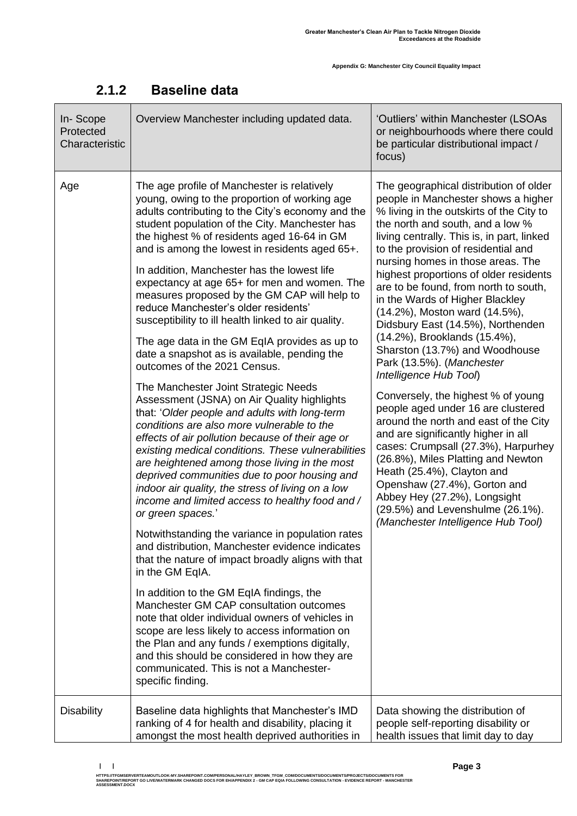| In-Scope<br>Protected<br>Characteristic | Overview Manchester including updated data.                                                                                                                                                                                                                                                                                                                                                                                                                                                                                                                                                                                                                                                                                                                                                                                                                                                                                                                                                                                                                                                                                                                                                                                                                                                                                                                                                                                                                                                                                                                                                                                                                                                                                                                       | 'Outliers' within Manchester (LSOAs<br>or neighbourhoods where there could<br>be particular distributional impact /<br>focus)                                                                                                                                                                                                                                                                                                                                                                                                                                                                                                                                                                                                                                                                                                                                                                                                                                                                                                 |  |
|-----------------------------------------|-------------------------------------------------------------------------------------------------------------------------------------------------------------------------------------------------------------------------------------------------------------------------------------------------------------------------------------------------------------------------------------------------------------------------------------------------------------------------------------------------------------------------------------------------------------------------------------------------------------------------------------------------------------------------------------------------------------------------------------------------------------------------------------------------------------------------------------------------------------------------------------------------------------------------------------------------------------------------------------------------------------------------------------------------------------------------------------------------------------------------------------------------------------------------------------------------------------------------------------------------------------------------------------------------------------------------------------------------------------------------------------------------------------------------------------------------------------------------------------------------------------------------------------------------------------------------------------------------------------------------------------------------------------------------------------------------------------------------------------------------------------------|-------------------------------------------------------------------------------------------------------------------------------------------------------------------------------------------------------------------------------------------------------------------------------------------------------------------------------------------------------------------------------------------------------------------------------------------------------------------------------------------------------------------------------------------------------------------------------------------------------------------------------------------------------------------------------------------------------------------------------------------------------------------------------------------------------------------------------------------------------------------------------------------------------------------------------------------------------------------------------------------------------------------------------|--|
| Age                                     | The age profile of Manchester is relatively<br>young, owing to the proportion of working age<br>adults contributing to the City's economy and the<br>student population of the City. Manchester has<br>the highest % of residents aged 16-64 in GM<br>and is among the lowest in residents aged 65+.<br>In addition, Manchester has the lowest life<br>expectancy at age 65+ for men and women. The<br>measures proposed by the GM CAP will help to<br>reduce Manchester's older residents'<br>susceptibility to ill health linked to air quality.<br>The age data in the GM EqIA provides as up to<br>date a snapshot as is available, pending the<br>outcomes of the 2021 Census.<br>The Manchester Joint Strategic Needs<br>Assessment (JSNA) on Air Quality highlights<br>that: 'Older people and adults with long-term<br>conditions are also more vulnerable to the<br>effects of air pollution because of their age or<br>existing medical conditions. These vulnerabilities<br>are heightened among those living in the most<br>deprived communities due to poor housing and<br>indoor air quality, the stress of living on a low<br>income and limited access to healthy food and /<br>or green spaces.'<br>Notwithstanding the variance in population rates<br>and distribution, Manchester evidence indicates<br>that the nature of impact broadly aligns with that<br>in the GM EqIA.<br>In addition to the GM EqIA findings, the<br>Manchester GM CAP consultation outcomes<br>note that older individual owners of vehicles in<br>scope are less likely to access information on<br>the Plan and any funds / exemptions digitally,<br>and this should be considered in how they are<br>communicated. This is not a Manchester-<br>specific finding. | The geographical distribution of older<br>people in Manchester shows a higher<br>% living in the outskirts of the City to<br>the north and south, and a low %<br>living centrally. This is, in part, linked<br>to the provision of residential and<br>nursing homes in those areas. The<br>highest proportions of older residents<br>are to be found, from north to south,<br>in the Wards of Higher Blackley<br>(14.2%), Moston ward (14.5%),<br>Didsbury East (14.5%), Northenden<br>(14.2%), Brooklands (15.4%),<br>Sharston (13.7%) and Woodhouse<br>Park (13.5%). (Manchester<br>Intelligence Hub Tool)<br>Conversely, the highest % of young<br>people aged under 16 are clustered<br>around the north and east of the City<br>and are significantly higher in all<br>cases: Crumpsall (27.3%), Harpurhey<br>(26.8%), Miles Platting and Newton<br>Heath (25.4%), Clayton and<br>Openshaw (27.4%), Gorton and<br>Abbey Hey (27.2%), Longsight<br>(29.5%) and Levenshulme (26.1%).<br>(Manchester Intelligence Hub Tool) |  |
| <b>Disability</b>                       | Baseline data highlights that Manchester's IMD<br>ranking of 4 for health and disability, placing it<br>amongst the most health deprived authorities in                                                                                                                                                                                                                                                                                                                                                                                                                                                                                                                                                                                                                                                                                                                                                                                                                                                                                                                                                                                                                                                                                                                                                                                                                                                                                                                                                                                                                                                                                                                                                                                                           | Data showing the distribution of<br>people self-reporting disability or<br>health issues that limit day to day                                                                                                                                                                                                                                                                                                                                                                                                                                                                                                                                                                                                                                                                                                                                                                                                                                                                                                                |  |

#### **2.1.2 Baseline data**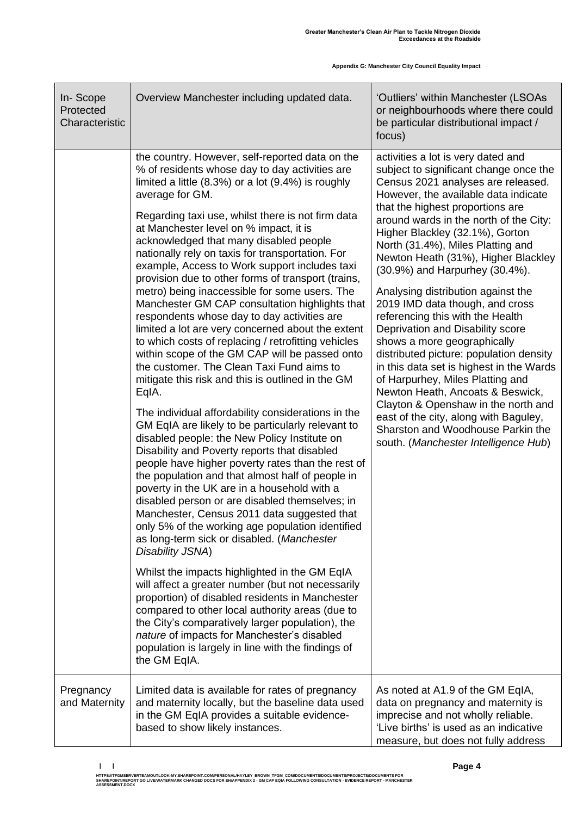| In-Scope<br>Protected<br>Characteristic | Overview Manchester including updated data.                                                                                                                                                                                                                                                                                                                                                                                                                                                                                                                                                                                                                                                                                                                                                                                                                                                                                                                                                                                                                                                                                                                                                                                                                                                                                                                                                                                                                                                                                                                                                                                                                                                                                                                                                                                                                                              | 'Outliers' within Manchester (LSOAs<br>or neighbourhoods where there could<br>be particular distributional impact /<br>focus)                                                                                                                                                                                                                                                                                                                                                                                                                                                                                                                                                                                                                                                                                                                                                                         |  |  |
|-----------------------------------------|------------------------------------------------------------------------------------------------------------------------------------------------------------------------------------------------------------------------------------------------------------------------------------------------------------------------------------------------------------------------------------------------------------------------------------------------------------------------------------------------------------------------------------------------------------------------------------------------------------------------------------------------------------------------------------------------------------------------------------------------------------------------------------------------------------------------------------------------------------------------------------------------------------------------------------------------------------------------------------------------------------------------------------------------------------------------------------------------------------------------------------------------------------------------------------------------------------------------------------------------------------------------------------------------------------------------------------------------------------------------------------------------------------------------------------------------------------------------------------------------------------------------------------------------------------------------------------------------------------------------------------------------------------------------------------------------------------------------------------------------------------------------------------------------------------------------------------------------------------------------------------------|-------------------------------------------------------------------------------------------------------------------------------------------------------------------------------------------------------------------------------------------------------------------------------------------------------------------------------------------------------------------------------------------------------------------------------------------------------------------------------------------------------------------------------------------------------------------------------------------------------------------------------------------------------------------------------------------------------------------------------------------------------------------------------------------------------------------------------------------------------------------------------------------------------|--|--|
|                                         | the country. However, self-reported data on the<br>% of residents whose day to day activities are<br>limited a little (8.3%) or a lot (9.4%) is roughly<br>average for GM.<br>Regarding taxi use, whilst there is not firm data<br>at Manchester level on % impact, it is<br>acknowledged that many disabled people<br>nationally rely on taxis for transportation. For<br>example, Access to Work support includes taxi<br>provision due to other forms of transport (trains,<br>metro) being inaccessible for some users. The<br>Manchester GM CAP consultation highlights that<br>respondents whose day to day activities are<br>limited a lot are very concerned about the extent<br>to which costs of replacing / retrofitting vehicles<br>within scope of the GM CAP will be passed onto<br>the customer. The Clean Taxi Fund aims to<br>mitigate this risk and this is outlined in the GM<br>EqIA.<br>The individual affordability considerations in the<br>GM EqIA are likely to be particularly relevant to<br>disabled people: the New Policy Institute on<br>Disability and Poverty reports that disabled<br>people have higher poverty rates than the rest of<br>the population and that almost half of people in<br>poverty in the UK are in a household with a<br>disabled person or are disabled themselves; in<br>Manchester, Census 2011 data suggested that<br>only 5% of the working age population identified<br>as long-term sick or disabled. (Manchester<br>Disability JSNA)<br>Whilst the impacts highlighted in the GM EqIA<br>will affect a greater number (but not necessarily<br>proportion) of disabled residents in Manchester<br>compared to other local authority areas (due to<br>the City's comparatively larger population), the<br>nature of impacts for Manchester's disabled<br>population is largely in line with the findings of<br>the GM EqIA. | activities a lot is very dated and<br>subject to significant change once the<br>Census 2021 analyses are released.<br>However, the available data indicate<br>that the highest proportions are<br>around wards in the north of the City:<br>Higher Blackley (32.1%), Gorton<br>North (31.4%), Miles Platting and<br>Newton Heath (31%), Higher Blackley<br>(30.9%) and Harpurhey (30.4%).<br>Analysing distribution against the<br>2019 IMD data though, and cross<br>referencing this with the Health<br>Deprivation and Disability score<br>shows a more geographically<br>distributed picture: population density<br>in this data set is highest in the Wards<br>of Harpurhey, Miles Platting and<br>Newton Heath, Ancoats & Beswick,<br>Clayton & Openshaw in the north and<br>east of the city, along with Baguley,<br>Sharston and Woodhouse Parkin the<br>south. (Manchester Intelligence Hub) |  |  |
| Pregnancy<br>and Maternity              | Limited data is available for rates of pregnancy<br>and maternity locally, but the baseline data used<br>in the GM EqIA provides a suitable evidence-<br>based to show likely instances.                                                                                                                                                                                                                                                                                                                                                                                                                                                                                                                                                                                                                                                                                                                                                                                                                                                                                                                                                                                                                                                                                                                                                                                                                                                                                                                                                                                                                                                                                                                                                                                                                                                                                                 | As noted at A1.9 of the GM EqIA,<br>data on pregnancy and maternity is<br>imprecise and not wholly reliable.<br>'Live births' is used as an indicative<br>measure, but does not fully address                                                                                                                                                                                                                                                                                                                                                                                                                                                                                                                                                                                                                                                                                                         |  |  |

**<sup>| |</sup>**  HTTPS://TFGMSERVERTEAMOUTLOOK-MY.SHAREPOINT.COM/PERSONAL/HAYLEY\_BROWN\_TFGM\_COM/DOCUMENTS/DOCUMENTS/PROJECTS/DOCUMENTS FOR<br>SHAREPOINT/REPORT GO LIVE/WATERMARK CHANGED DOCS FOR EH/APPENDIX 2 - GM CAP EQIA FOLLOWING CONSULTAT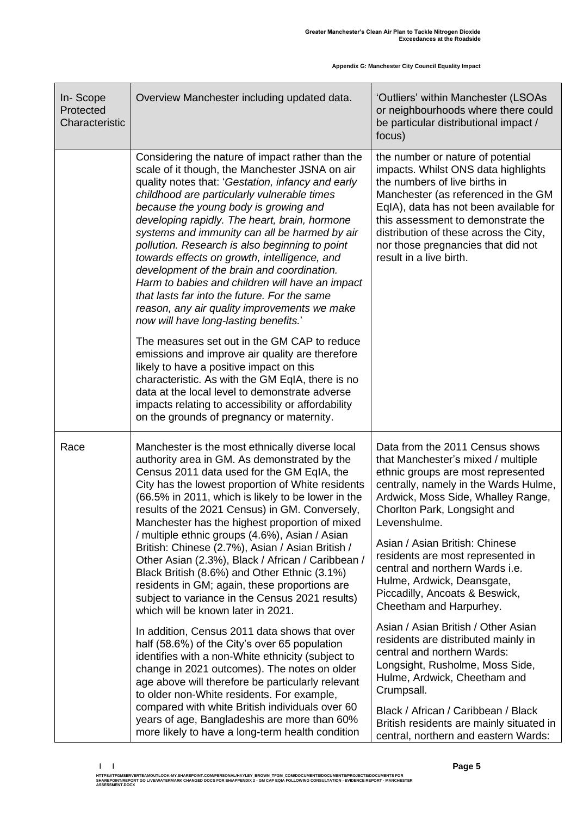| In-Scope<br>Protected<br>Characteristic | Overview Manchester including updated data.                                                                                                                                                                                                                                                                                                                                                                                                                                                                                                                                                                                                                                                   | 'Outliers' within Manchester (LSOAs<br>or neighbourhoods where there could<br>be particular distributional impact /<br>focus)                                                                                                                                                                                                                                                                                        |
|-----------------------------------------|-----------------------------------------------------------------------------------------------------------------------------------------------------------------------------------------------------------------------------------------------------------------------------------------------------------------------------------------------------------------------------------------------------------------------------------------------------------------------------------------------------------------------------------------------------------------------------------------------------------------------------------------------------------------------------------------------|----------------------------------------------------------------------------------------------------------------------------------------------------------------------------------------------------------------------------------------------------------------------------------------------------------------------------------------------------------------------------------------------------------------------|
|                                         | Considering the nature of impact rather than the<br>scale of it though, the Manchester JSNA on air<br>quality notes that: 'Gestation, infancy and early<br>childhood are particularly vulnerable times<br>because the young body is growing and<br>developing rapidly. The heart, brain, hormone<br>systems and immunity can all be harmed by air<br>pollution. Research is also beginning to point<br>towards effects on growth, intelligence, and<br>development of the brain and coordination.<br>Harm to babies and children will have an impact<br>that lasts far into the future. For the same<br>reason, any air quality improvements we make<br>now will have long-lasting benefits.' | the number or nature of potential<br>impacts. Whilst ONS data highlights<br>the numbers of live births in<br>Manchester (as referenced in the GM<br>EqIA), data has not been available for<br>this assessment to demonstrate the<br>distribution of these across the City,<br>nor those pregnancies that did not<br>result in a live birth.                                                                          |
|                                         | The measures set out in the GM CAP to reduce<br>emissions and improve air quality are therefore<br>likely to have a positive impact on this<br>characteristic. As with the GM EqIA, there is no<br>data at the local level to demonstrate adverse<br>impacts relating to accessibility or affordability<br>on the grounds of pregnancy or maternity.                                                                                                                                                                                                                                                                                                                                          |                                                                                                                                                                                                                                                                                                                                                                                                                      |
| Race                                    | Manchester is the most ethnically diverse local<br>authority area in GM. As demonstrated by the<br>Census 2011 data used for the GM EqIA, the<br>City has the lowest proportion of White residents<br>(66.5% in 2011, which is likely to be lower in the<br>results of the 2021 Census) in GM. Conversely,<br>Manchester has the highest proportion of mixed<br>/ multiple ethnic groups (4.6%), Asian / Asian<br>British: Chinese (2.7%), Asian / Asian British /<br>Other Asian (2.3%), Black / African / Caribbean /<br>Black British (8.6%) and Other Ethnic (3.1%)<br>residents in GM; again, these proportions are<br>subject to variance in the Census 2021 results)                   | Data from the 2011 Census shows<br>that Manchester's mixed / multiple<br>ethnic groups are most represented<br>centrally, namely in the Wards Hulme,<br>Ardwick, Moss Side, Whalley Range,<br>Chorlton Park, Longsight and<br>Levenshulme.<br>Asian / Asian British: Chinese<br>residents are most represented in<br>central and northern Wards i.e.<br>Hulme, Ardwick, Deansgate,<br>Piccadilly, Ancoats & Beswick, |
|                                         | which will be known later in 2021.<br>In addition, Census 2011 data shows that over<br>half (58.6%) of the City's over 65 population<br>identifies with a non-White ethnicity (subject to<br>change in 2021 outcomes). The notes on older<br>age above will therefore be particularly relevant<br>to older non-White residents. For example,<br>compared with white British individuals over 60<br>years of age, Bangladeshis are more than 60%<br>more likely to have a long-term health condition                                                                                                                                                                                           | Cheetham and Harpurhey.<br>Asian / Asian British / Other Asian<br>residents are distributed mainly in<br>central and northern Wards:<br>Longsight, Rusholme, Moss Side,<br>Hulme, Ardwick, Cheetham and<br>Crumpsall.<br>Black / African / Caribbean / Black<br>British residents are mainly situated in<br>central, northern and eastern Wards:                                                                     |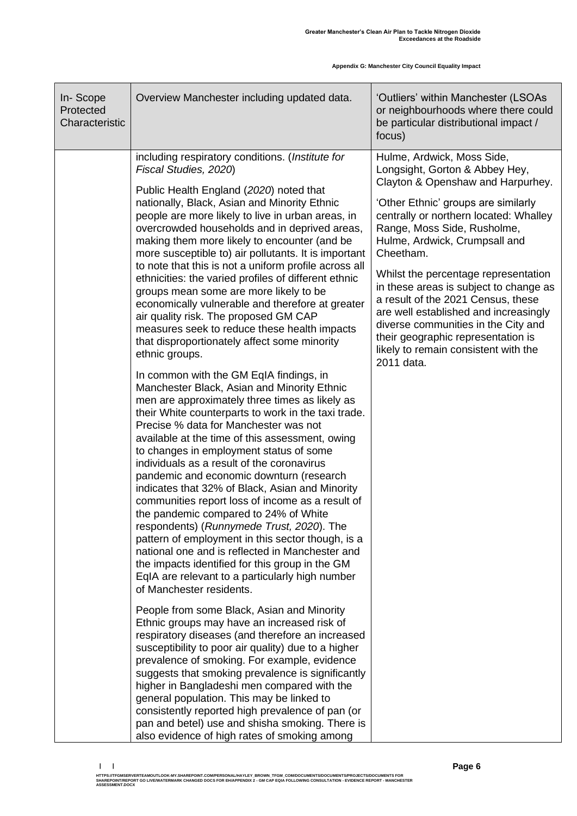| In-Scope<br>Protected<br>Characteristic | Overview Manchester including updated data.                                                                                                                                                                                                                                                                                                                                                                                                                                                                                                                                                                                                                                                                                                                                                                                                                                                                                                                                                                                                                                                                                                                                                                                                                                                                                                                                                                                                                                                                                                                                                                 | 'Outliers' within Manchester (LSOAs<br>or neighbourhoods where there could<br>be particular distributional impact /<br>focus)                                                                                                                                                                                                                                                                                                                                                                                                                                       |
|-----------------------------------------|-------------------------------------------------------------------------------------------------------------------------------------------------------------------------------------------------------------------------------------------------------------------------------------------------------------------------------------------------------------------------------------------------------------------------------------------------------------------------------------------------------------------------------------------------------------------------------------------------------------------------------------------------------------------------------------------------------------------------------------------------------------------------------------------------------------------------------------------------------------------------------------------------------------------------------------------------------------------------------------------------------------------------------------------------------------------------------------------------------------------------------------------------------------------------------------------------------------------------------------------------------------------------------------------------------------------------------------------------------------------------------------------------------------------------------------------------------------------------------------------------------------------------------------------------------------------------------------------------------------|---------------------------------------------------------------------------------------------------------------------------------------------------------------------------------------------------------------------------------------------------------------------------------------------------------------------------------------------------------------------------------------------------------------------------------------------------------------------------------------------------------------------------------------------------------------------|
|                                         | including respiratory conditions. (Institute for<br>Fiscal Studies, 2020)<br>Public Health England (2020) noted that<br>nationally, Black, Asian and Minority Ethnic<br>people are more likely to live in urban areas, in<br>overcrowded households and in deprived areas,<br>making them more likely to encounter (and be<br>more susceptible to) air pollutants. It is important<br>to note that this is not a uniform profile across all<br>ethnicities: the varied profiles of different ethnic<br>groups mean some are more likely to be<br>economically vulnerable and therefore at greater<br>air quality risk. The proposed GM CAP<br>measures seek to reduce these health impacts<br>that disproportionately affect some minority<br>ethnic groups.<br>In common with the GM EqIA findings, in<br>Manchester Black, Asian and Minority Ethnic<br>men are approximately three times as likely as<br>their White counterparts to work in the taxi trade.<br>Precise % data for Manchester was not<br>available at the time of this assessment, owing<br>to changes in employment status of some<br>individuals as a result of the coronavirus<br>pandemic and economic downturn (research<br>indicates that 32% of Black, Asian and Minority<br>communities report loss of income as a result of<br>the pandemic compared to 24% of White<br>respondents) (Runnymede Trust, 2020). The<br>pattern of employment in this sector though, is a<br>national one and is reflected in Manchester and<br>the impacts identified for this group in the GM<br>EqIA are relevant to a particularly high number | Hulme, Ardwick, Moss Side,<br>Longsight, Gorton & Abbey Hey,<br>Clayton & Openshaw and Harpurhey.<br>'Other Ethnic' groups are similarly<br>centrally or northern located: Whalley<br>Range, Moss Side, Rusholme,<br>Hulme, Ardwick, Crumpsall and<br>Cheetham.<br>Whilst the percentage representation<br>in these areas is subject to change as<br>a result of the 2021 Census, these<br>are well established and increasingly<br>diverse communities in the City and<br>their geographic representation is<br>likely to remain consistent with the<br>2011 data. |
|                                         | of Manchester residents.<br>People from some Black, Asian and Minority<br>Ethnic groups may have an increased risk of<br>respiratory diseases (and therefore an increased<br>susceptibility to poor air quality) due to a higher<br>prevalence of smoking. For example, evidence<br>suggests that smoking prevalence is significantly<br>higher in Bangladeshi men compared with the<br>general population. This may be linked to<br>consistently reported high prevalence of pan (or<br>pan and betel) use and shisha smoking. There is<br>also evidence of high rates of smoking among                                                                                                                                                                                                                                                                                                                                                                                                                                                                                                                                                                                                                                                                                                                                                                                                                                                                                                                                                                                                                    |                                                                                                                                                                                                                                                                                                                                                                                                                                                                                                                                                                     |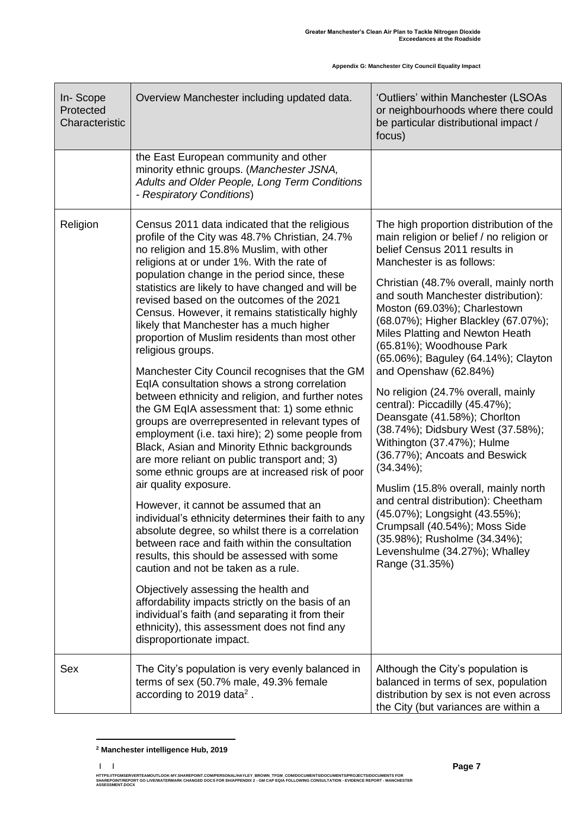| In-Scope<br>Protected<br>Characteristic | Overview Manchester including updated data.                                                                                                                                                                                                                                                                                                                                                                                                                                                                                                                                                                                                                                                                                                                                                                                                                                                                                                                                                                                                                                                                                                                                                                                                                                                                                                                                                                                                                                                                                             | 'Outliers' within Manchester (LSOAs<br>or neighbourhoods where there could<br>be particular distributional impact /<br>focus)                                                                                                                                                                                                                                                                                                                                                                                                                                                                                                                                                                                                                                                                                                                                                                           |
|-----------------------------------------|-----------------------------------------------------------------------------------------------------------------------------------------------------------------------------------------------------------------------------------------------------------------------------------------------------------------------------------------------------------------------------------------------------------------------------------------------------------------------------------------------------------------------------------------------------------------------------------------------------------------------------------------------------------------------------------------------------------------------------------------------------------------------------------------------------------------------------------------------------------------------------------------------------------------------------------------------------------------------------------------------------------------------------------------------------------------------------------------------------------------------------------------------------------------------------------------------------------------------------------------------------------------------------------------------------------------------------------------------------------------------------------------------------------------------------------------------------------------------------------------------------------------------------------------|---------------------------------------------------------------------------------------------------------------------------------------------------------------------------------------------------------------------------------------------------------------------------------------------------------------------------------------------------------------------------------------------------------------------------------------------------------------------------------------------------------------------------------------------------------------------------------------------------------------------------------------------------------------------------------------------------------------------------------------------------------------------------------------------------------------------------------------------------------------------------------------------------------|
|                                         | the East European community and other<br>minority ethnic groups. (Manchester JSNA,<br>Adults and Older People, Long Term Conditions<br>- Respiratory Conditions)                                                                                                                                                                                                                                                                                                                                                                                                                                                                                                                                                                                                                                                                                                                                                                                                                                                                                                                                                                                                                                                                                                                                                                                                                                                                                                                                                                        |                                                                                                                                                                                                                                                                                                                                                                                                                                                                                                                                                                                                                                                                                                                                                                                                                                                                                                         |
| Religion                                | Census 2011 data indicated that the religious<br>profile of the City was 48.7% Christian, 24.7%<br>no religion and 15.8% Muslim, with other<br>religions at or under 1%. With the rate of<br>population change in the period since, these<br>statistics are likely to have changed and will be<br>revised based on the outcomes of the 2021<br>Census. However, it remains statistically highly<br>likely that Manchester has a much higher<br>proportion of Muslim residents than most other<br>religious groups.<br>Manchester City Council recognises that the GM<br>EqIA consultation shows a strong correlation<br>between ethnicity and religion, and further notes<br>the GM EqIA assessment that: 1) some ethnic<br>groups are overrepresented in relevant types of<br>employment (i.e. taxi hire); 2) some people from<br>Black, Asian and Minority Ethnic backgrounds<br>are more reliant on public transport and; 3)<br>some ethnic groups are at increased risk of poor<br>air quality exposure.<br>However, it cannot be assumed that an<br>individual's ethnicity determines their faith to any<br>absolute degree, so whilst there is a correlation<br>between race and faith within the consultation<br>results, this should be assessed with some<br>caution and not be taken as a rule.<br>Objectively assessing the health and<br>affordability impacts strictly on the basis of an<br>individual's faith (and separating it from their<br>ethnicity), this assessment does not find any<br>disproportionate impact. | The high proportion distribution of the<br>main religion or belief / no religion or<br>belief Census 2011 results in<br>Manchester is as follows:<br>Christian (48.7% overall, mainly north<br>and south Manchester distribution):<br>Moston (69.03%); Charlestown<br>(68.07%); Higher Blackley (67.07%);<br>Miles Platting and Newton Heath<br>(65.81%); Woodhouse Park<br>(65.06%); Baguley (64.14%); Clayton<br>and Openshaw (62.84%)<br>No religion (24.7% overall, mainly<br>central): Piccadilly (45.47%);<br>Deansgate (41.58%); Chorlton<br>(38.74%); Didsbury West (37.58%);<br>Withington (37.47%); Hulme<br>(36.77%); Ancoats and Beswick<br>$(34.34\%);$<br>Muslim (15.8% overall, mainly north<br>and central distribution): Cheetham<br>(45.07%); Longsight (43.55%);<br>Crumpsall (40.54%); Moss Side<br>(35.98%); Rusholme (34.34%);<br>Levenshulme (34.27%); Whalley<br>Range (31.35%) |
| Sex                                     | The City's population is very evenly balanced in<br>terms of sex (50.7% male, 49.3% female<br>according to 2019 data <sup>2</sup> .                                                                                                                                                                                                                                                                                                                                                                                                                                                                                                                                                                                                                                                                                                                                                                                                                                                                                                                                                                                                                                                                                                                                                                                                                                                                                                                                                                                                     | Although the City's population is<br>balanced in terms of sex, population<br>distribution by sex is not even across<br>the City (but variances are within a                                                                                                                                                                                                                                                                                                                                                                                                                                                                                                                                                                                                                                                                                                                                             |

**<sup>2</sup> Manchester intelligence Hub, 2019**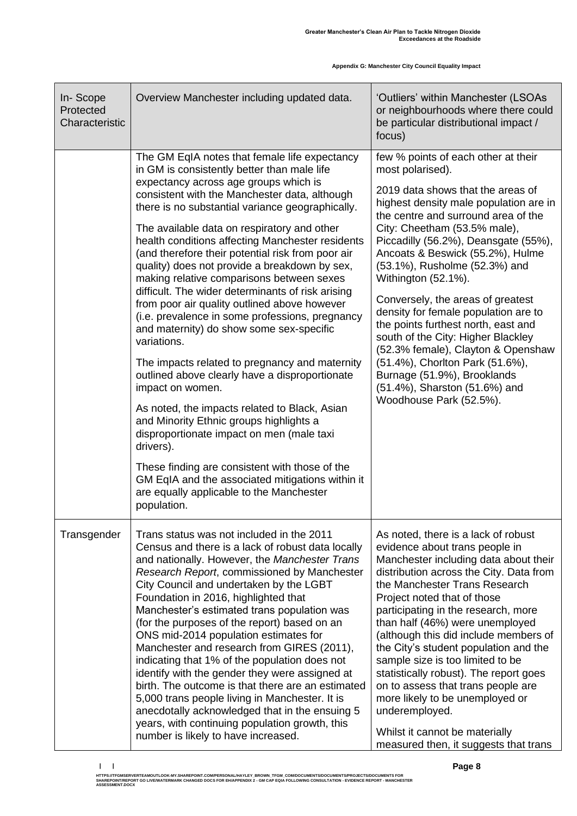| In-Scope<br>Protected<br>Characteristic | Overview Manchester including updated data.                                                                                                                                                                                                                                                                                                                                                                                                                                                                                                                                                                                                                                                                                                                                                                                                                                                                                                                                                                                                                                                                                                                        | 'Outliers' within Manchester (LSOAs<br>or neighbourhoods where there could<br>be particular distributional impact /<br>focus)                                                                                                                                                                                                                                                                                                                                                                                                                                                                                                                                                   |
|-----------------------------------------|--------------------------------------------------------------------------------------------------------------------------------------------------------------------------------------------------------------------------------------------------------------------------------------------------------------------------------------------------------------------------------------------------------------------------------------------------------------------------------------------------------------------------------------------------------------------------------------------------------------------------------------------------------------------------------------------------------------------------------------------------------------------------------------------------------------------------------------------------------------------------------------------------------------------------------------------------------------------------------------------------------------------------------------------------------------------------------------------------------------------------------------------------------------------|---------------------------------------------------------------------------------------------------------------------------------------------------------------------------------------------------------------------------------------------------------------------------------------------------------------------------------------------------------------------------------------------------------------------------------------------------------------------------------------------------------------------------------------------------------------------------------------------------------------------------------------------------------------------------------|
|                                         | The GM EqIA notes that female life expectancy<br>in GM is consistently better than male life<br>expectancy across age groups which is<br>consistent with the Manchester data, although<br>there is no substantial variance geographically.<br>The available data on respiratory and other<br>health conditions affecting Manchester residents<br>(and therefore their potential risk from poor air<br>quality) does not provide a breakdown by sex,<br>making relative comparisons between sexes<br>difficult. The wider determinants of risk arising<br>from poor air quality outlined above however<br>(i.e. prevalence in some professions, pregnancy<br>and maternity) do show some sex-specific<br>variations.<br>The impacts related to pregnancy and maternity<br>outlined above clearly have a disproportionate<br>impact on women.<br>As noted, the impacts related to Black, Asian<br>and Minority Ethnic groups highlights a<br>disproportionate impact on men (male taxi<br>drivers).<br>These finding are consistent with those of the<br>GM EqIA and the associated mitigations within it<br>are equally applicable to the Manchester<br>population. | few % points of each other at their<br>most polarised).<br>2019 data shows that the areas of<br>highest density male population are in<br>the centre and surround area of the<br>City: Cheetham (53.5% male),<br>Piccadilly (56.2%), Deansgate (55%),<br>Ancoats & Beswick (55.2%), Hulme<br>(53.1%), Rusholme (52.3%) and<br>Withington (52.1%).<br>Conversely, the areas of greatest<br>density for female population are to<br>the points furthest north, east and<br>south of the City: Higher Blackley<br>(52.3% female), Clayton & Openshaw<br>(51.4%), Chorlton Park (51.6%),<br>Burnage (51.9%), Brooklands<br>(51.4%), Sharston (51.6%) and<br>Woodhouse Park (52.5%). |
| Transgender                             | Trans status was not included in the 2011<br>Census and there is a lack of robust data locally<br>and nationally. However, the Manchester Trans<br>Research Report, commissioned by Manchester<br>City Council and undertaken by the LGBT<br>Foundation in 2016, highlighted that<br>Manchester's estimated trans population was<br>(for the purposes of the report) based on an<br>ONS mid-2014 population estimates for<br>Manchester and research from GIRES (2011),<br>indicating that 1% of the population does not<br>identify with the gender they were assigned at<br>birth. The outcome is that there are an estimated<br>5,000 trans people living in Manchester. It is<br>anecdotally acknowledged that in the ensuing 5<br>years, with continuing population growth, this<br>number is likely to have increased.                                                                                                                                                                                                                                                                                                                                       | As noted, there is a lack of robust<br>evidence about trans people in<br>Manchester including data about their<br>distribution across the City. Data from<br>the Manchester Trans Research<br>Project noted that of those<br>participating in the research, more<br>than half (46%) were unemployed<br>(although this did include members of<br>the City's student population and the<br>sample size is too limited to be<br>statistically robust). The report goes<br>on to assess that trans people are<br>more likely to be unemployed or<br>underemployed.<br>Whilst it cannot be materially<br>measured then, it suggests that trans                                       |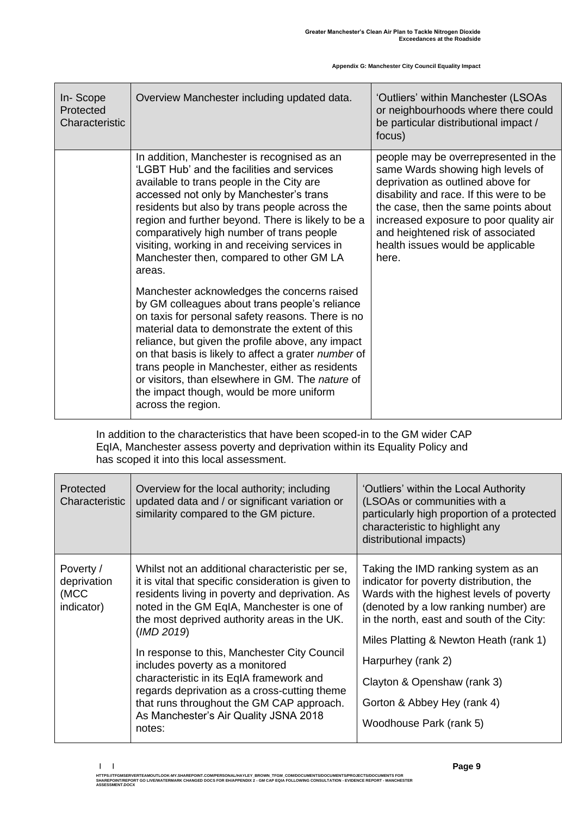| In-Scope<br>Protected<br>Characteristic | Overview Manchester including updated data.                                                                                                                                                                                                                                                                                                                                                                                                                                                 | 'Outliers' within Manchester (LSOAs<br>or neighbourhoods where there could<br>be particular distributional impact /<br>focus)                                                                                                                                                                                                  |
|-----------------------------------------|---------------------------------------------------------------------------------------------------------------------------------------------------------------------------------------------------------------------------------------------------------------------------------------------------------------------------------------------------------------------------------------------------------------------------------------------------------------------------------------------|--------------------------------------------------------------------------------------------------------------------------------------------------------------------------------------------------------------------------------------------------------------------------------------------------------------------------------|
|                                         | In addition, Manchester is recognised as an<br>'LGBT Hub' and the facilities and services<br>available to trans people in the City are<br>accessed not only by Manchester's trans<br>residents but also by trans people across the<br>region and further beyond. There is likely to be a<br>comparatively high number of trans people<br>visiting, working in and receiving services in<br>Manchester then, compared to other GM LA<br>areas.                                               | people may be overrepresented in the<br>same Wards showing high levels of<br>deprivation as outlined above for<br>disability and race. If this were to be<br>the case, then the same points about<br>increased exposure to poor quality air<br>and heightened risk of associated<br>health issues would be applicable<br>here. |
|                                         | Manchester acknowledges the concerns raised<br>by GM colleagues about trans people's reliance<br>on taxis for personal safety reasons. There is no<br>material data to demonstrate the extent of this<br>reliance, but given the profile above, any impact<br>on that basis is likely to affect a grater number of<br>trans people in Manchester, either as residents<br>or visitors, than elsewhere in GM. The nature of<br>the impact though, would be more uniform<br>across the region. |                                                                                                                                                                                                                                                                                                                                |

In addition to the characteristics that have been scoped-in to the GM wider CAP EqIA, Manchester assess poverty and deprivation within its Equality Policy and has scoped it into this local assessment.

| Protected<br>Characteristic                    | Overview for the local authority; including<br>updated data and / or significant variation or<br>similarity compared to the GM picture.                                                                                                                                                                                                                                                                                                                                                                                                              | 'Outliers' within the Local Authority<br>(LSOAs or communities with a<br>particularly high proportion of a protected<br>characteristic to highlight any<br>distributional impacts)                                                                                                                                                                                        |
|------------------------------------------------|------------------------------------------------------------------------------------------------------------------------------------------------------------------------------------------------------------------------------------------------------------------------------------------------------------------------------------------------------------------------------------------------------------------------------------------------------------------------------------------------------------------------------------------------------|---------------------------------------------------------------------------------------------------------------------------------------------------------------------------------------------------------------------------------------------------------------------------------------------------------------------------------------------------------------------------|
| Poverty /<br>deprivation<br>(MCC<br>indicator) | Whilst not an additional characteristic per se,<br>it is vital that specific consideration is given to<br>residents living in poverty and deprivation. As<br>noted in the GM EqIA, Manchester is one of<br>the most deprived authority areas in the UK.<br>(IMD 2019)<br>In response to this, Manchester City Council<br>includes poverty as a monitored<br>characteristic in its EqIA framework and<br>regards deprivation as a cross-cutting theme<br>that runs throughout the GM CAP approach.<br>As Manchester's Air Quality JSNA 2018<br>notes: | Taking the IMD ranking system as an<br>indicator for poverty distribution, the<br>Wards with the highest levels of poverty<br>(denoted by a low ranking number) are<br>in the north, east and south of the City:<br>Miles Platting & Newton Heath (rank 1)<br>Harpurhey (rank 2)<br>Clayton & Openshaw (rank 3)<br>Gorton & Abbey Hey (rank 4)<br>Woodhouse Park (rank 5) |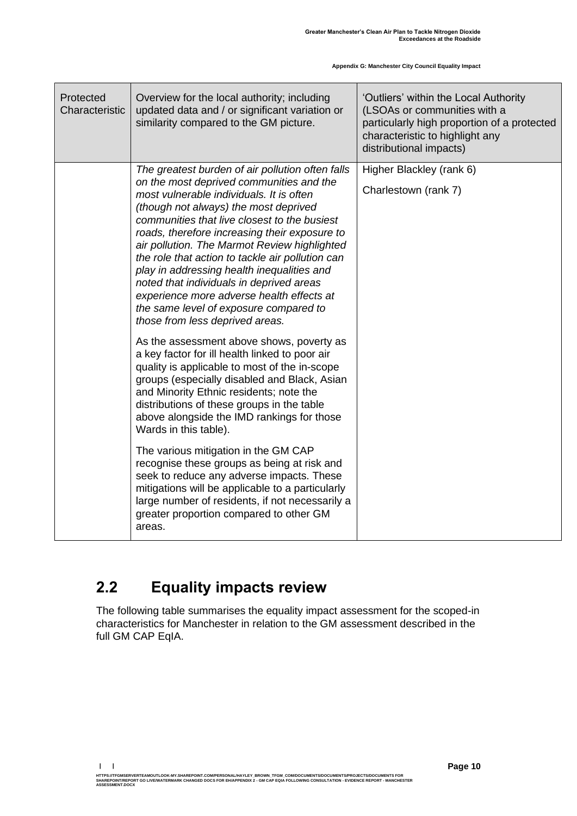| Protected<br>Characteristic | Overview for the local authority; including<br>updated data and / or significant variation or<br>similarity compared to the GM picture.                                                                                                                                                                                                                                                                                                                                                                                                                                                                                                                                                                                                                                                                                                                                                                                                                                                                                                                                                                                                                                                                               | 'Outliers' within the Local Authority<br>(LSOAs or communities with a<br>particularly high proportion of a protected<br>characteristic to highlight any<br>distributional impacts) |
|-----------------------------|-----------------------------------------------------------------------------------------------------------------------------------------------------------------------------------------------------------------------------------------------------------------------------------------------------------------------------------------------------------------------------------------------------------------------------------------------------------------------------------------------------------------------------------------------------------------------------------------------------------------------------------------------------------------------------------------------------------------------------------------------------------------------------------------------------------------------------------------------------------------------------------------------------------------------------------------------------------------------------------------------------------------------------------------------------------------------------------------------------------------------------------------------------------------------------------------------------------------------|------------------------------------------------------------------------------------------------------------------------------------------------------------------------------------|
|                             | The greatest burden of air pollution often falls<br>on the most deprived communities and the<br>most vulnerable individuals. It is often<br>(though not always) the most deprived<br>communities that live closest to the busiest<br>roads, therefore increasing their exposure to<br>air pollution. The Marmot Review highlighted<br>the role that action to tackle air pollution can<br>play in addressing health inequalities and<br>noted that individuals in deprived areas<br>experience more adverse health effects at<br>the same level of exposure compared to<br>those from less deprived areas.<br>As the assessment above shows, poverty as<br>a key factor for ill health linked to poor air<br>quality is applicable to most of the in-scope<br>groups (especially disabled and Black, Asian<br>and Minority Ethnic residents; note the<br>distributions of these groups in the table<br>above alongside the IMD rankings for those<br>Wards in this table).<br>The various mitigation in the GM CAP<br>recognise these groups as being at risk and<br>seek to reduce any adverse impacts. These<br>mitigations will be applicable to a particularly<br>large number of residents, if not necessarily a | Higher Blackley (rank 6)<br>Charlestown (rank 7)                                                                                                                                   |
|                             | greater proportion compared to other GM<br>areas.                                                                                                                                                                                                                                                                                                                                                                                                                                                                                                                                                                                                                                                                                                                                                                                                                                                                                                                                                                                                                                                                                                                                                                     |                                                                                                                                                                                    |

## <span id="page-11-0"></span>**2.2 Equality impacts review**

The following table summarises the equality impact assessment for the scoped-in characteristics for Manchester in relation to the GM assessment described in the full GM CAP EqIA.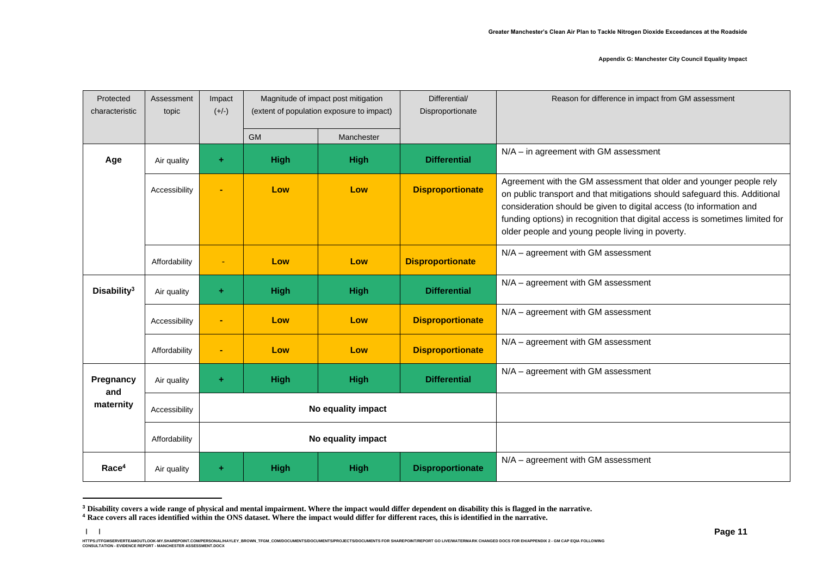| Protected<br>characteristic                      | Assessment<br>topic | Impact<br>$(+/-)$ | Magnitude of impact post mitigation<br>(extent of population exposure to impact) |             | Differential/<br>Disproportionate | Reason for difference in impact from GM assessment                                                                                                                                                                                                                                                                                                           |
|--------------------------------------------------|---------------------|-------------------|----------------------------------------------------------------------------------|-------------|-----------------------------------|--------------------------------------------------------------------------------------------------------------------------------------------------------------------------------------------------------------------------------------------------------------------------------------------------------------------------------------------------------------|
|                                                  |                     |                   | <b>GM</b>                                                                        | Manchester  |                                   |                                                                                                                                                                                                                                                                                                                                                              |
| Age                                              | Air quality         | ÷                 | <b>High</b>                                                                      | <b>High</b> | <b>Differential</b>               | N/A - in agreement with GM assessment                                                                                                                                                                                                                                                                                                                        |
|                                                  | Accessibility       | ٠                 | Low                                                                              | Low         | <b>Disproportionate</b>           | Agreement with the GM assessment that older and younger people rely<br>on public transport and that mitigations should safeguard this. Additional<br>consideration should be given to digital access (to information and<br>funding options) in recognition that digital access is sometimes limited for<br>older people and young people living in poverty. |
|                                                  | Affordability       | $\blacksquare$    | Low                                                                              | Low         | <b>Disproportionate</b>           | N/A - agreement with GM assessment                                                                                                                                                                                                                                                                                                                           |
| Disability <sup>3</sup>                          | Air quality         | $\ddot{}$         | <b>High</b>                                                                      | <b>High</b> | <b>Differential</b>               | N/A - agreement with GM assessment                                                                                                                                                                                                                                                                                                                           |
|                                                  | Accessibility       | ۰                 | Low                                                                              | Low         | <b>Disproportionate</b>           | N/A - agreement with GM assessment                                                                                                                                                                                                                                                                                                                           |
|                                                  | Affordability       | $\blacksquare$    | Low                                                                              | Low         | <b>Disproportionate</b>           | N/A - agreement with GM assessment                                                                                                                                                                                                                                                                                                                           |
| Pregnancy<br>and                                 | Air quality         | $\ddot{}$         | <b>High</b>                                                                      | <b>High</b> | <b>Differential</b>               | N/A - agreement with GM assessment                                                                                                                                                                                                                                                                                                                           |
| maternity<br>No equality impact<br>Accessibility |                     |                   |                                                                                  |             |                                   |                                                                                                                                                                                                                                                                                                                                                              |
|                                                  | Affordability       |                   | No equality impact                                                               |             |                                   |                                                                                                                                                                                                                                                                                                                                                              |
| Race <sup>4</sup>                                | Air quality         | $\ddot{}$         | <b>High</b>                                                                      | <b>High</b> | <b>Disproportionate</b>           | N/A - agreement with GM assessment                                                                                                                                                                                                                                                                                                                           |

**<sup>3</sup> Disability covers a wide range of physical and mental impairment. Where the impact would differ dependent on disability this is flagged in the narrative.**

**| |** 

**<sup>4</sup> Race covers all races identified within the ONS dataset. Where the impact would differ for different races, this is identified in the narrative.**

HTTPS://TEMBERVERTEMOUTLOOK-MY.SHAREPOINT.COM/PERSONAL/HAYLEY\_BROWN\_TFGM\_COM/DOCUMENTS/ROCUMENTS/RROJECTS/DOCUMENTS FOR SHAREPOINT/REPORT GO LIVE/MATERMARK CHANGED DOCS FOR EH/APPENDIX 2 - GM CAP EQIA FOLLOWING<br>CONSULTATIO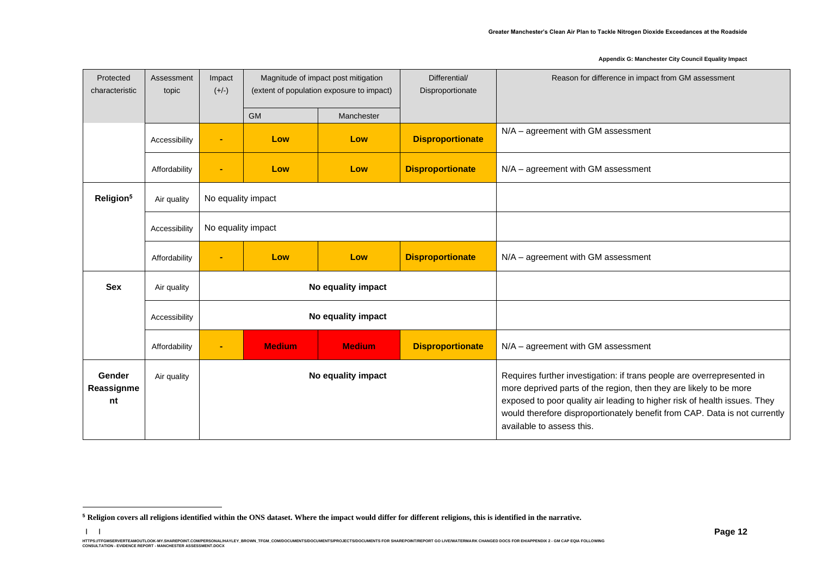| Protected<br>characteristic | Assessment<br>topic | Impact<br>$(+/-)$  | Magnitude of impact post mitigation<br>(extent of population exposure to impact) |                    | Differential/<br>Disproportionate | Reason for difference in impact from GM assessment                                                                                                                                                                                                                                                                                   |
|-----------------------------|---------------------|--------------------|----------------------------------------------------------------------------------|--------------------|-----------------------------------|--------------------------------------------------------------------------------------------------------------------------------------------------------------------------------------------------------------------------------------------------------------------------------------------------------------------------------------|
|                             |                     |                    | <b>GM</b>                                                                        | Manchester         |                                   |                                                                                                                                                                                                                                                                                                                                      |
|                             | Accessibility       | $\blacksquare$     | Low                                                                              | Low                | <b>Disproportionate</b>           | N/A - agreement with GM assessment                                                                                                                                                                                                                                                                                                   |
|                             | Affordability       | $\blacksquare$     | Low                                                                              | Low                | <b>Disproportionate</b>           | N/A - agreement with GM assessment                                                                                                                                                                                                                                                                                                   |
| Religion <sup>5</sup>       | Air quality         | No equality impact |                                                                                  |                    |                                   |                                                                                                                                                                                                                                                                                                                                      |
|                             | Accessibility       | No equality impact |                                                                                  |                    |                                   |                                                                                                                                                                                                                                                                                                                                      |
|                             | Affordability       | $\blacksquare$     | Low                                                                              | Low                | <b>Disproportionate</b>           | N/A - agreement with GM assessment                                                                                                                                                                                                                                                                                                   |
| <b>Sex</b>                  | Air quality         |                    |                                                                                  | No equality impact |                                   |                                                                                                                                                                                                                                                                                                                                      |
|                             | Accessibility       |                    |                                                                                  | No equality impact |                                   |                                                                                                                                                                                                                                                                                                                                      |
|                             | Affordability       | $\blacksquare$     | <b>Medium</b>                                                                    | <b>Medium</b>      | <b>Disproportionate</b>           | N/A - agreement with GM assessment                                                                                                                                                                                                                                                                                                   |
| Gender<br>Reassignme<br>nt  | Air quality         |                    |                                                                                  | No equality impact |                                   | Requires further investigation: if trans people are overrepresented in<br>more deprived parts of the region, then they are likely to be more<br>exposed to poor quality air leading to higher risk of health issues. They<br>would therefore disproportionately benefit from CAP. Data is not currently<br>available to assess this. |

**| |** 

**<sup>5</sup> Religion covers all religions identified within the ONS dataset. Where the impact would differ for different religions, this is identified in the narrative.**

HTTPS://TEMBERVERTEMOUTLOOK-MY.SHAREPOINT.COM/PERSONAL/HAYLEY\_BROWN\_TFGM\_COM/DOCUMENTS/ROCUMENTS/RROJECTS/DOCUMENTS FOR SHAREPOINT/REPORT GO LIVE/MATERMARK CHANGED DOCS FOR EH/APPENDIX 2 - GM CAP EQIA FOLLOWING<br>CONSULTATIO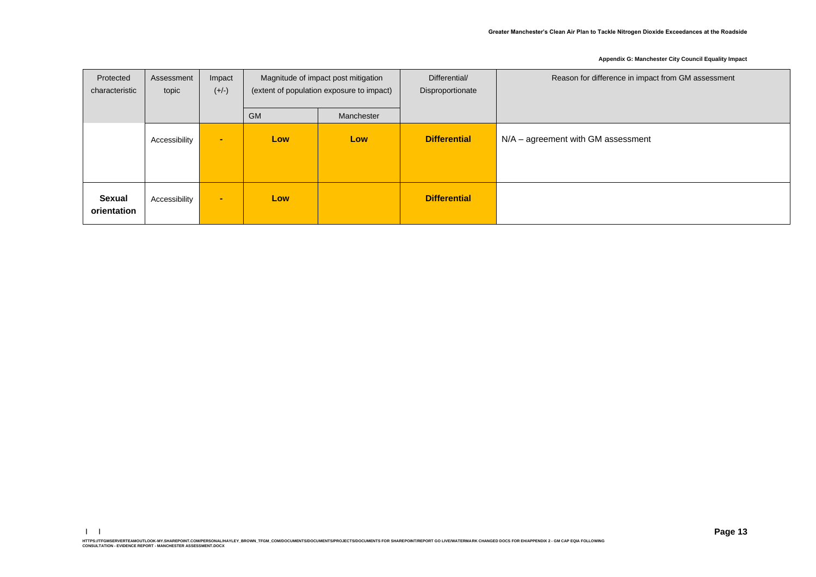| Protected<br>characteristic | Assessment<br>topic | Impact<br>$(+/-)$ | Magnitude of impact post mitigation<br>(extent of population exposure to impact) |            | Differential/<br>Disproportionate | Reason for difference in impact from GM assessment |
|-----------------------------|---------------------|-------------------|----------------------------------------------------------------------------------|------------|-----------------------------------|----------------------------------------------------|
|                             |                     |                   | <b>GM</b>                                                                        | Manchester |                                   |                                                    |
|                             | Accessibility       | $\blacksquare$    | Low                                                                              | <b>Low</b> | <b>Differential</b>               | $N/A - agreement$ with GM assessment               |
| Sexual<br>orientation       | Accessibility       | $\sim$            | Low                                                                              |            | <b>Differential</b>               |                                                    |

**| |**